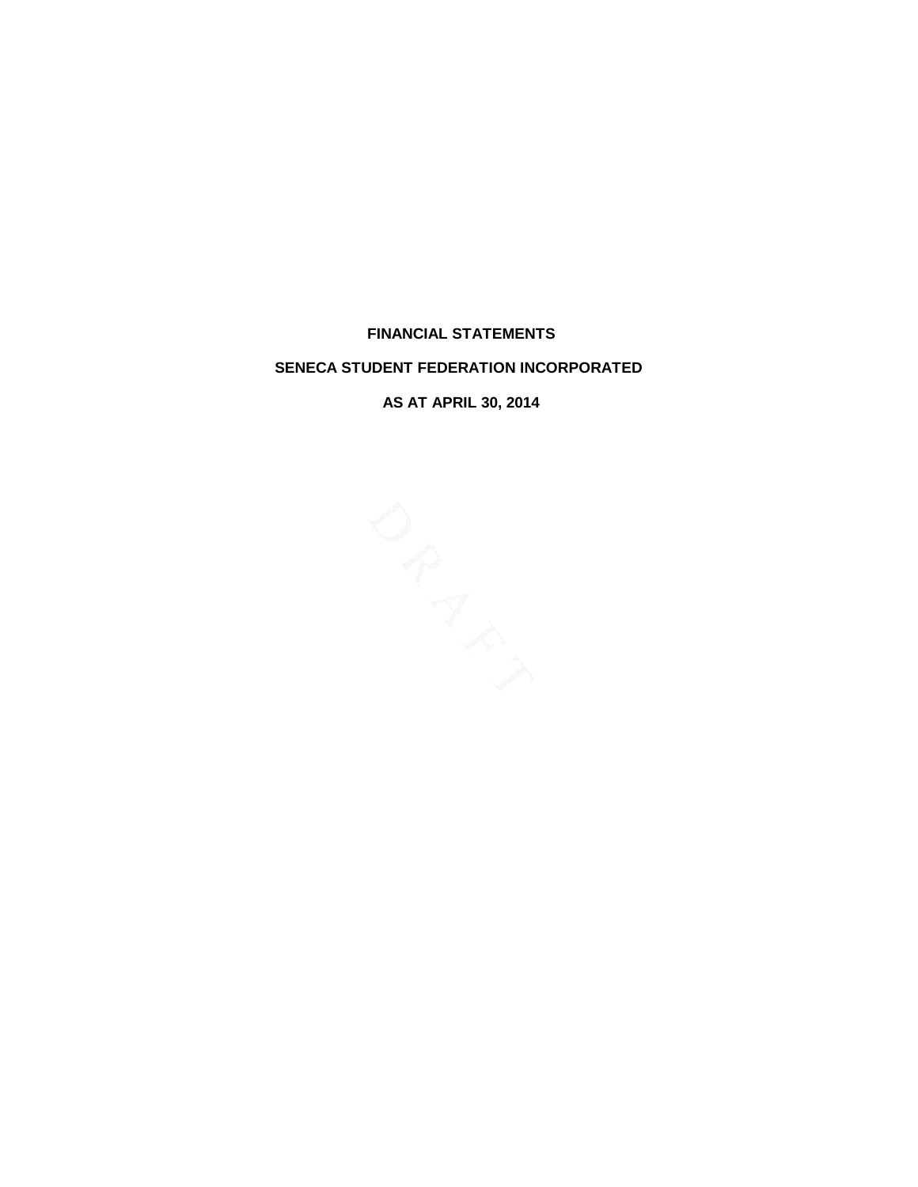**FINANCIAL STATEMENTS**

# **SENECA STUDENT FEDERATION INCORPORATED**

**AS AT APRIL 30, 2014**

RIVER MILES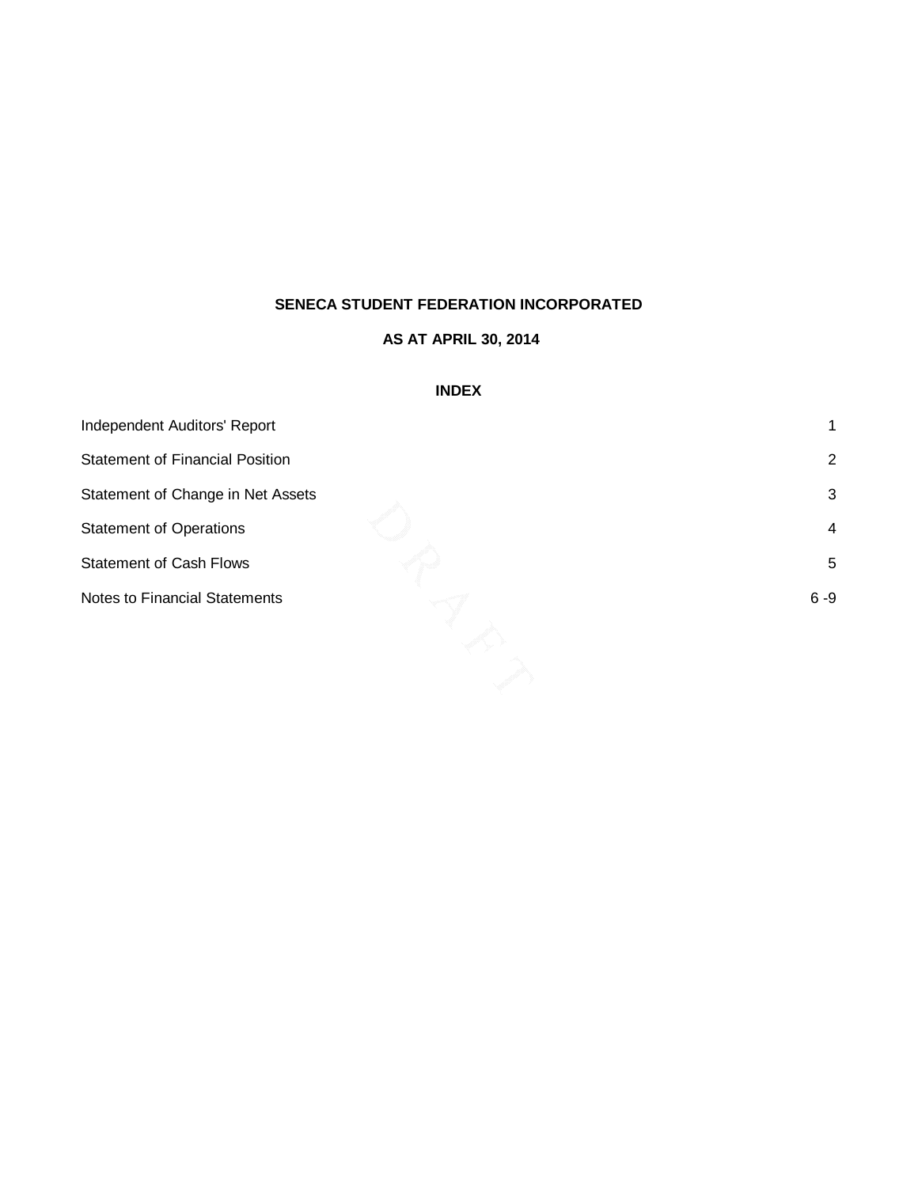# **AS AT APRIL 30, 2014**

# **INDEX**

| Independent Auditors' Report           |                |
|----------------------------------------|----------------|
| <b>Statement of Financial Position</b> | $\overline{2}$ |
| Statement of Change in Net Assets      | 3              |
| <b>Statement of Operations</b>         | $\overline{4}$ |
| <b>Statement of Cash Flows</b>         | 5              |
| <b>Notes to Financial Statements</b>   | $6 - 9$        |
|                                        |                |
|                                        |                |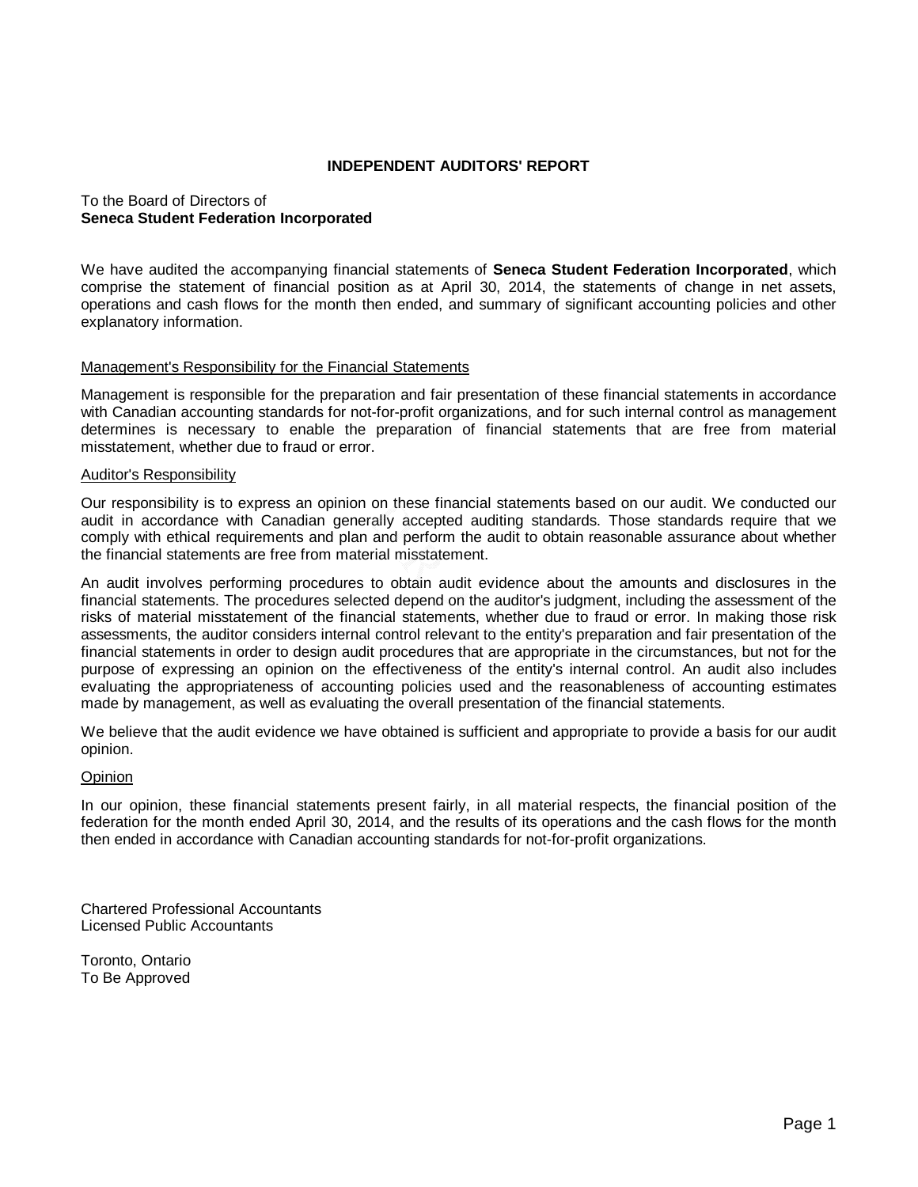## **INDEPENDENT AUDITORS' REPORT**

# To the Board of Directors of **Seneca Student Federation Incorporated**

We have audited the accompanying financial statements of **Seneca Student Federation Incorporated**, which comprise the statement of financial position as at April 30, 2014, the statements of change in net assets, operations and cash flows for the month then ended, and summary of significant accounting policies and other explanatory information.

# Management's Responsibility for the Financial Statements

Management is responsible for the preparation and fair presentation of these financial statements in accordance with Canadian accounting standards for not-for-profit organizations, and for such internal control as management determines is necessary to enable the preparation of financial statements that are free from material misstatement, whether due to fraud or error.

## Auditor's Responsibility

Our responsibility is to express an opinion on these financial statements based on our audit. We conducted our audit in accordance with Canadian generally accepted auditing standards. Those standards require that we comply with ethical requirements and plan and perform the audit to obtain reasonable assurance about whether the financial statements are free from material misstatement.

An audit involves performing procedures to obtain audit evidence about the amounts and disclosures in the financial statements. The procedures selected depend on the auditor's judgment, including the assessment of the risks of material misstatement of the financial statements, whether due to fraud or error. In making those risk assessments, the auditor considers internal control relevant to the entity's preparation and fair presentation of the financial statements in order to design audit procedures that are appropriate in the circumstances, but not for the purpose of expressing an opinion on the effectiveness of the entity's internal control. An audit also includes evaluating the appropriateness of accounting policies used and the reasonableness of accounting estimates made by management, as well as evaluating the overall presentation of the financial statements.

We believe that the audit evidence we have obtained is sufficient and appropriate to provide a basis for our audit opinion.

## Opinion

In our opinion, these financial statements present fairly, in all material respects, the financial position of the federation for the month ended April 30, 2014, and the results of its operations and the cash flows for the month then ended in accordance with Canadian accounting standards for not-for-profit organizations.

Chartered Professional Accountants Licensed Public Accountants

Toronto, Ontario To Be Approved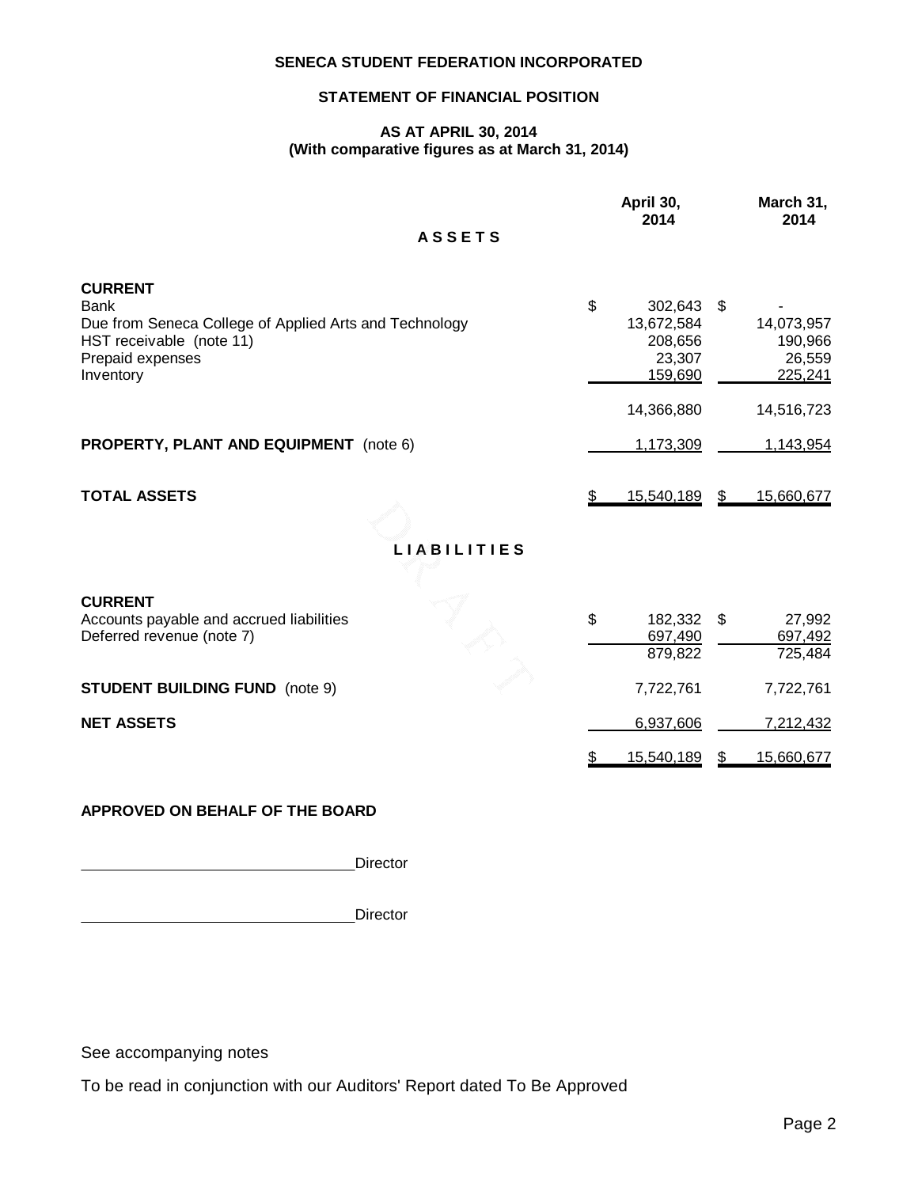# **STATEMENT OF FINANCIAL POSITION**

## **AS AT APRIL 30, 2014 (With comparative figures as at March 31, 2014)**

|                                                                                                                                                      | April 30,<br>2014                                           | March 31,<br>2014                                |
|------------------------------------------------------------------------------------------------------------------------------------------------------|-------------------------------------------------------------|--------------------------------------------------|
| <b>ASSETS</b>                                                                                                                                        |                                                             |                                                  |
| <b>CURRENT</b><br><b>Bank</b><br>Due from Seneca College of Applied Arts and Technology<br>HST receivable (note 11)<br>Prepaid expenses<br>Inventory | \$<br>302,643<br>13,672,584<br>208,656<br>23,307<br>159,690 | \$<br>14,073,957<br>190,966<br>26,559<br>225,241 |
|                                                                                                                                                      | 14,366,880                                                  | 14,516,723                                       |
| <b>PROPERTY, PLANT AND EQUIPMENT</b> (note 6)                                                                                                        | 1,173,309                                                   | 1,143,954                                        |
| <b>TOTAL ASSETS</b><br>LIA <sup>8</sup> BILITIES                                                                                                     | 15,540,189                                                  | 15,660,677<br>S.                                 |
| <b>CURRENT</b><br>Accounts payable and accrued liabilities<br>Deferred revenue (note 7)                                                              | \$<br>182,332<br>697,490<br>879,822                         | 27,992<br>\$<br>697,492<br>725,484               |
| <b>STUDENT BUILDING FUND</b> (note 9)                                                                                                                | 7,722,761                                                   | 7,722,761                                        |
| <b>NET ASSETS</b>                                                                                                                                    | 6,937,606                                                   | 7,212,432                                        |
|                                                                                                                                                      | 15,540,189                                                  | 15,660,677                                       |
| APPROVED ON BEHALF OF THE BOARD                                                                                                                      |                                                             |                                                  |

**Director** 

<u>Director and the contract of the contract of the contract of the contract of the contract of the contract of the contract of the contract of the contract of the contract of the contract of the contract of the contract of </u>

See accompanying notes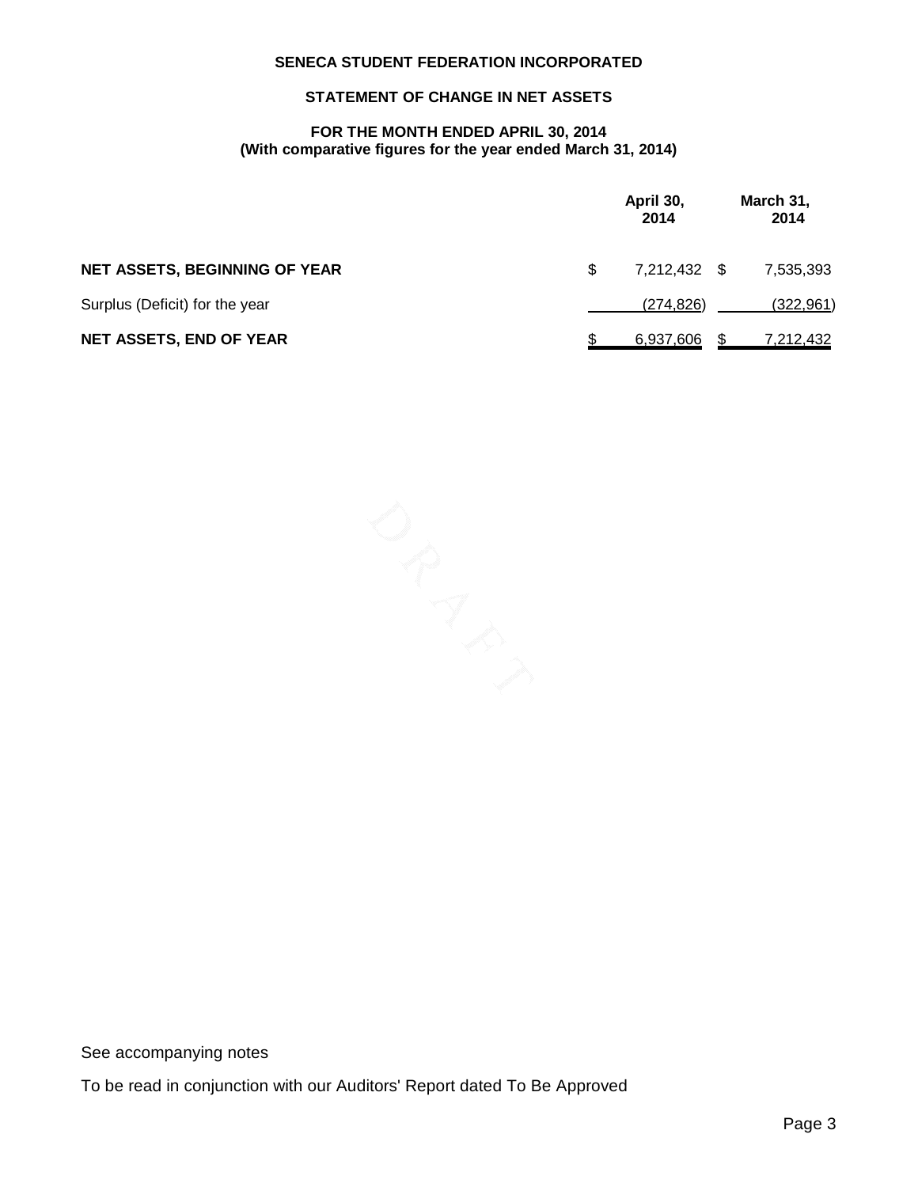# **STATEMENT OF CHANGE IN NET ASSETS**

# **FOR THE MONTH ENDED APRIL 30, 2014 (With comparative figures for the year ended March 31, 2014)**

|                                      |     | April 30,<br>2014 | March 31,<br>2014 |
|--------------------------------------|-----|-------------------|-------------------|
| <b>NET ASSETS, BEGINNING OF YEAR</b> | \$. | 7,212,432 \$      | 7,535,393         |
| Surplus (Deficit) for the year       |     | (274, 826)        | (322, 961)        |
| <b>NET ASSETS, END OF YEAR</b>       |     | <u>6,937,606</u>  | <u>7,212,432</u>  |

AND POST

See accompanying notes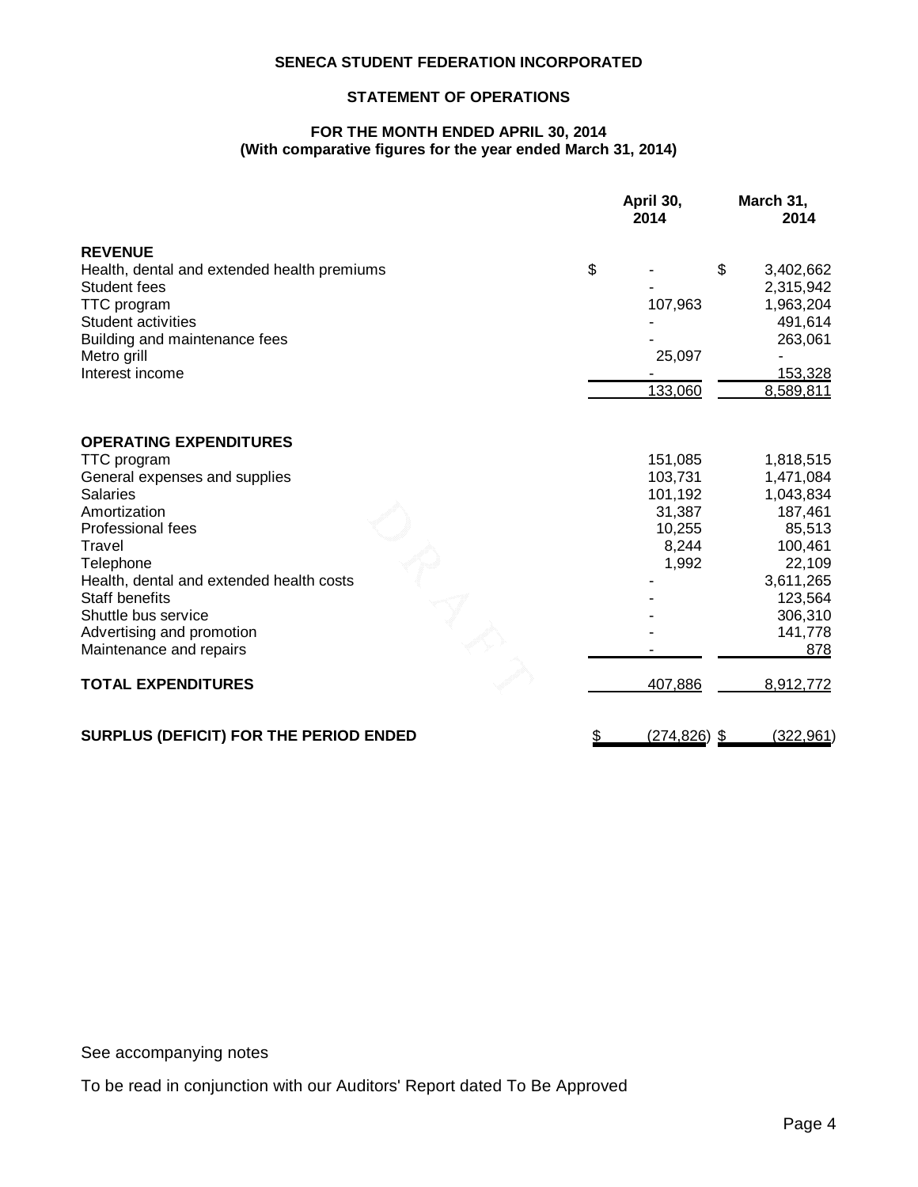# **STATEMENT OF OPERATIONS**

## **FOR THE MONTH ENDED APRIL 30, 2014 (With comparative figures for the year ended March 31, 2014)**

|                                             | April 30,<br>2014 | March 31,<br>2014    |
|---------------------------------------------|-------------------|----------------------|
| <b>REVENUE</b>                              |                   |                      |
| Health, dental and extended health premiums | \$                | \$<br>3,402,662      |
| <b>Student fees</b>                         |                   | 2,315,942            |
| <b>TTC</b> program                          | 107,963           | 1,963,204            |
| Student activities                          |                   | 491,614              |
| Building and maintenance fees               |                   | 263,061              |
| Metro grill                                 | 25,097            |                      |
| Interest income                             |                   | 153,328              |
|                                             | 133,060           | 8,589,811            |
| <b>OPERATING EXPENDITURES</b>               |                   |                      |
| <b>TTC</b> program                          | 151,085           | 1,818,515            |
| General expenses and supplies               | 103,731           | 1,471,084            |
| <b>Salaries</b>                             | 101,192           | 1,043,834<br>187,461 |
| Amortization<br><b>Professional fees</b>    | 31,387<br>10,255  | 85,513               |
| Travel                                      | 8,244             | 100,461              |
| Telephone                                   | 1,992             | 22,109               |
| Health, dental and extended health costs    |                   | 3,611,265            |
| <b>Staff benefits</b>                       |                   | 123,564              |
| Shuttle bus service                         |                   | 306,310              |
| Advertising and promotion                   |                   | 141,778              |
| Maintenance and repairs                     |                   | 878                  |
| <b>TOTAL EXPENDITURES</b>                   | 407,886           | 8,912,772            |
| SURPLUS (DEFICIT) FOR THE PERIOD ENDED      | (274, 826)        | (322, 961)<br>- \$   |

See accompanying notes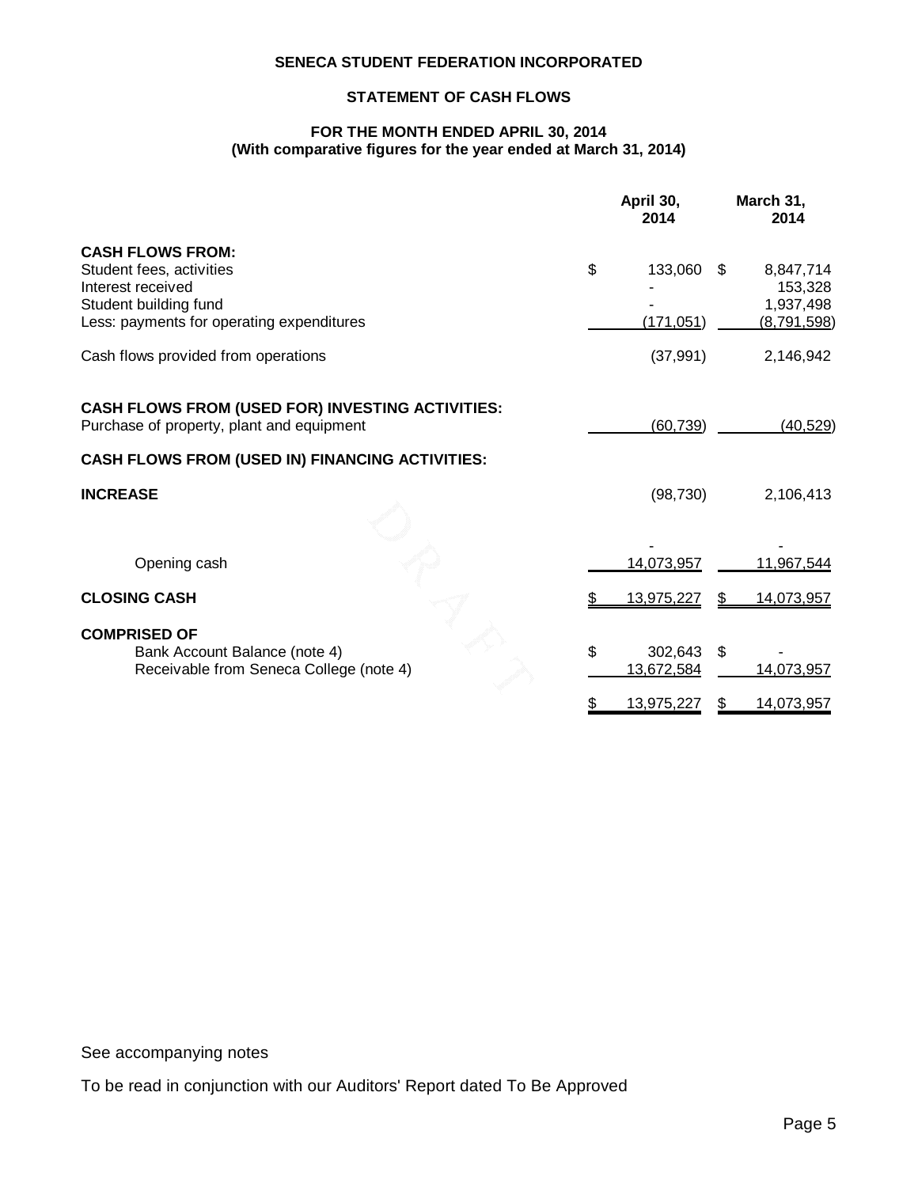# **STATEMENT OF CASH FLOWS**

## **FOR THE MONTH ENDED APRIL 30, 2014 (With comparative figures for the year ended at March 31, 2014)**

|                                                         | April 30,<br>2014 |     | March 31,<br>2014    |
|---------------------------------------------------------|-------------------|-----|----------------------|
| <b>CASH FLOWS FROM:</b>                                 |                   |     |                      |
| Student fees, activities<br>Interest received           | \$<br>133,060     | \$. | 8,847,714<br>153,328 |
| Student building fund                                   |                   |     | 1,937,498            |
| Less: payments for operating expenditures               | (171, 051)        |     | (8,791,598)          |
| Cash flows provided from operations                     | (37, 991)         |     | 2,146,942            |
| <b>CASH FLOWS FROM (USED FOR) INVESTING ACTIVITIES:</b> |                   |     |                      |
| Purchase of property, plant and equipment               | (60, 739)         |     | (40, 529)            |
| <b>CASH FLOWS FROM (USED IN) FINANCING ACTIVITIES:</b>  |                   |     |                      |
| <b>INCREASE</b>                                         | (98, 730)         |     | 2,106,413            |
|                                                         |                   |     |                      |
| Opening cash                                            | 14,073,957        |     | 11,967,544           |
| <b>CLOSING CASH</b>                                     | 13,975,227        | \$. | 14,073,957           |
| <b>COMPRISED OF</b>                                     |                   |     |                      |
| Bank Account Balance (note 4)                           | \$<br>302,643     | \$  |                      |
| Receivable from Seneca College (note 4)                 | 13,672,584        |     | 14,073,957           |
|                                                         | 13,975,227        |     | 14,073,957           |

See accompanying notes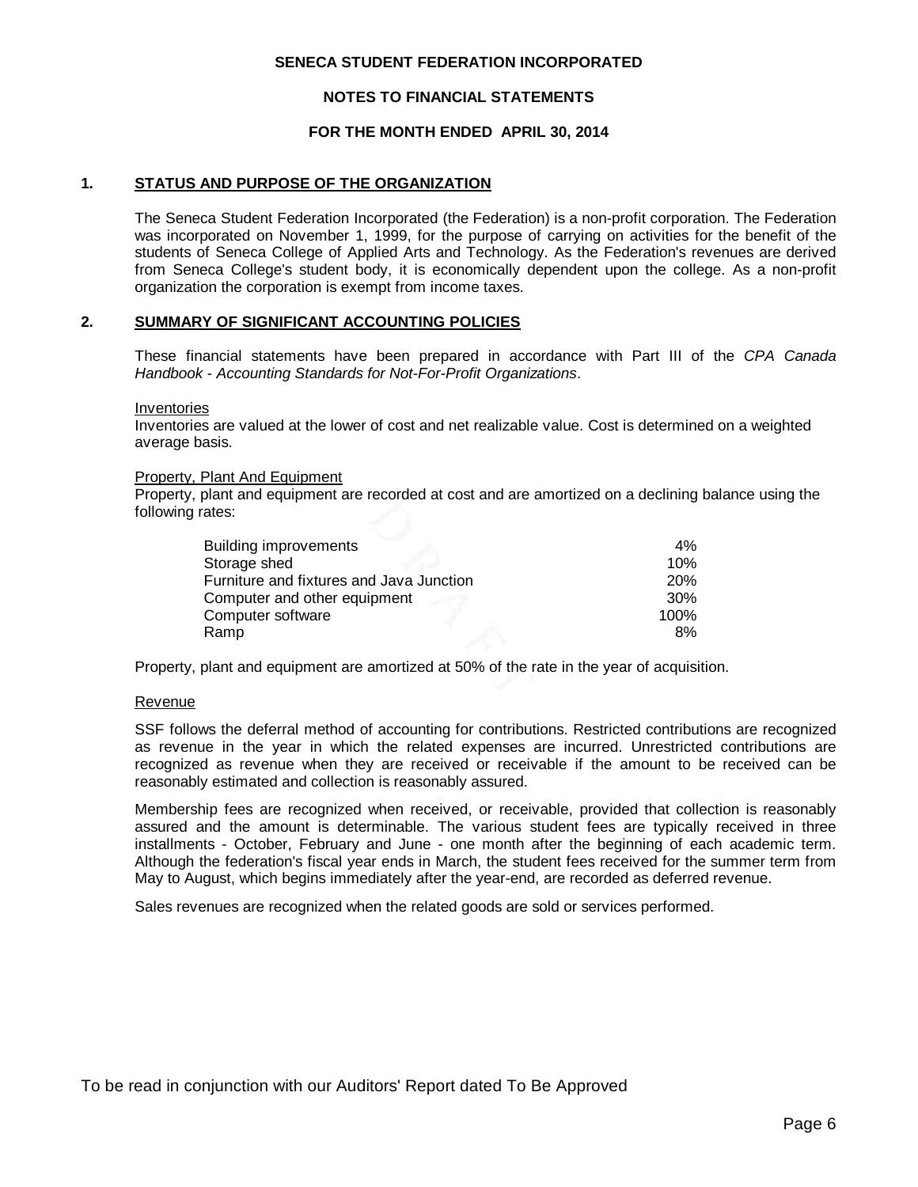#### **NOTES TO FINANCIAL STATEMENTS**

## **FOR THE MONTH ENDED APRIL 30, 2014**

### **1. STATUS AND PURPOSE OF THE ORGANIZATION**

The Seneca Student Federation Incorporated (the Federation) is a non-profit corporation. The Federation was incorporated on November 1, 1999, for the purpose of carrying on activities for the benefit of the students of Seneca College of Applied Arts and Technology. As the Federation's revenues are derived from Seneca College's student body, it is economically dependent upon the college. As a non-profit organization the corporation is exempt from income taxes.

#### **2. SUMMARY OF SIGNIFICANT ACCOUNTING POLICIES**

These financial statements have been prepared in accordance with Part III of the *CPA Canada Handbook* - *Accounting Standards for Not-For-Profit Organizations*.

Inventories

Inventories are valued at the lower of cost and net realizable value. Cost is determined on a weighted average basis.

#### Property, Plant And Equipment

Property, plant and equipment are recorded at cost and are amortized on a declining balance using the following rates:

| <b>Building improvements</b>             | $4\%$      |
|------------------------------------------|------------|
| Storage shed                             | 10%        |
| Furniture and fixtures and Java Junction | <b>20%</b> |
| Computer and other equipment             | 30%        |
| Computer software                        | 100%       |
| Ramp                                     | 8%         |
|                                          |            |

Property, plant and equipment are amortized at 50% of the rate in the year of acquisition.

#### Revenue

SSF follows the deferral method of accounting for contributions. Restricted contributions are recognized as revenue in the year in which the related expenses are incurred. Unrestricted contributions are recognized as revenue when they are received or receivable if the amount to be received can be reasonably estimated and collection is reasonably assured.

Membership fees are recognized when received, or receivable, provided that collection is reasonably assured and the amount is determinable. The various student fees are typically received in three installments - October, February and June - one month after the beginning of each academic term. Although the federation's fiscal year ends in March, the student fees received for the summer term from May to August, which begins immediately after the year-end, are recorded as deferred revenue.

Sales revenues are recognized when the related goods are sold or services performed.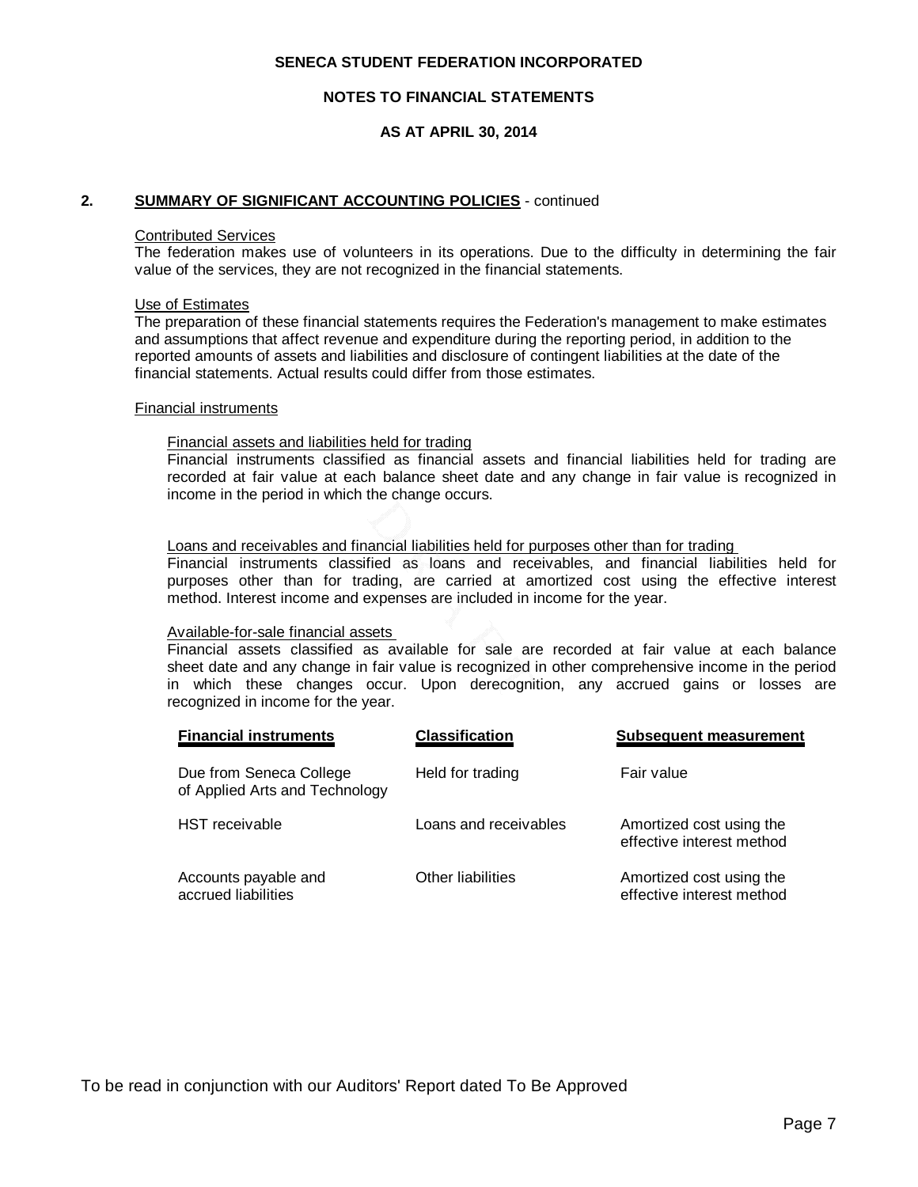#### **NOTES TO FINANCIAL STATEMENTS**

## **AS AT APRIL 30, 2014**

#### **2. SUMMARY OF SIGNIFICANT ACCOUNTING POLICIES** - continued

#### Contributed Services

The federation makes use of volunteers in its operations. Due to the difficulty in determining the fair value of the services, they are not recognized in the financial statements.

#### Use of Estimates

The preparation of these financial statements requires the Federation's management to make estimates and assumptions that affect revenue and expenditure during the reporting period, in addition to the reported amounts of assets and liabilities and disclosure of contingent liabilities at the date of the financial statements. Actual results could differ from those estimates.

#### Financial instruments

## Financial assets and liabilities held for trading

Financial instruments classified as financial assets and financial liabilities held for trading are recorded at fair value at each balance sheet date and any change in fair value is recognized in income in the period in which the change occurs.

#### Loans and receivables and financial liabilities held for purposes other than for trading

Financial instruments classified as loans and receivables, and financial liabilities held for purposes other than for trading, are carried at amortized cost using the effective interest method. Interest income and expenses are included in income for the year.

#### Available-for-sale financial assets

Financial assets classified as available for sale are recorded at fair value at each balance sheet date and any change in fair value is recognized in other comprehensive income in the period in which these changes occur. Upon derecognition, any accrued gains or losses are recognized in income for the year.

| <b>Financial instruments</b>                              | <b>Classification</b> | <b>Subsequent measurement</b>                         |
|-----------------------------------------------------------|-----------------------|-------------------------------------------------------|
| Due from Seneca College<br>of Applied Arts and Technology | Held for trading      | Fair value                                            |
| <b>HST</b> receivable                                     | Loans and receivables | Amortized cost using the<br>effective interest method |
| Accounts payable and<br>accrued liabilities               | Other liabilities     | Amortized cost using the<br>effective interest method |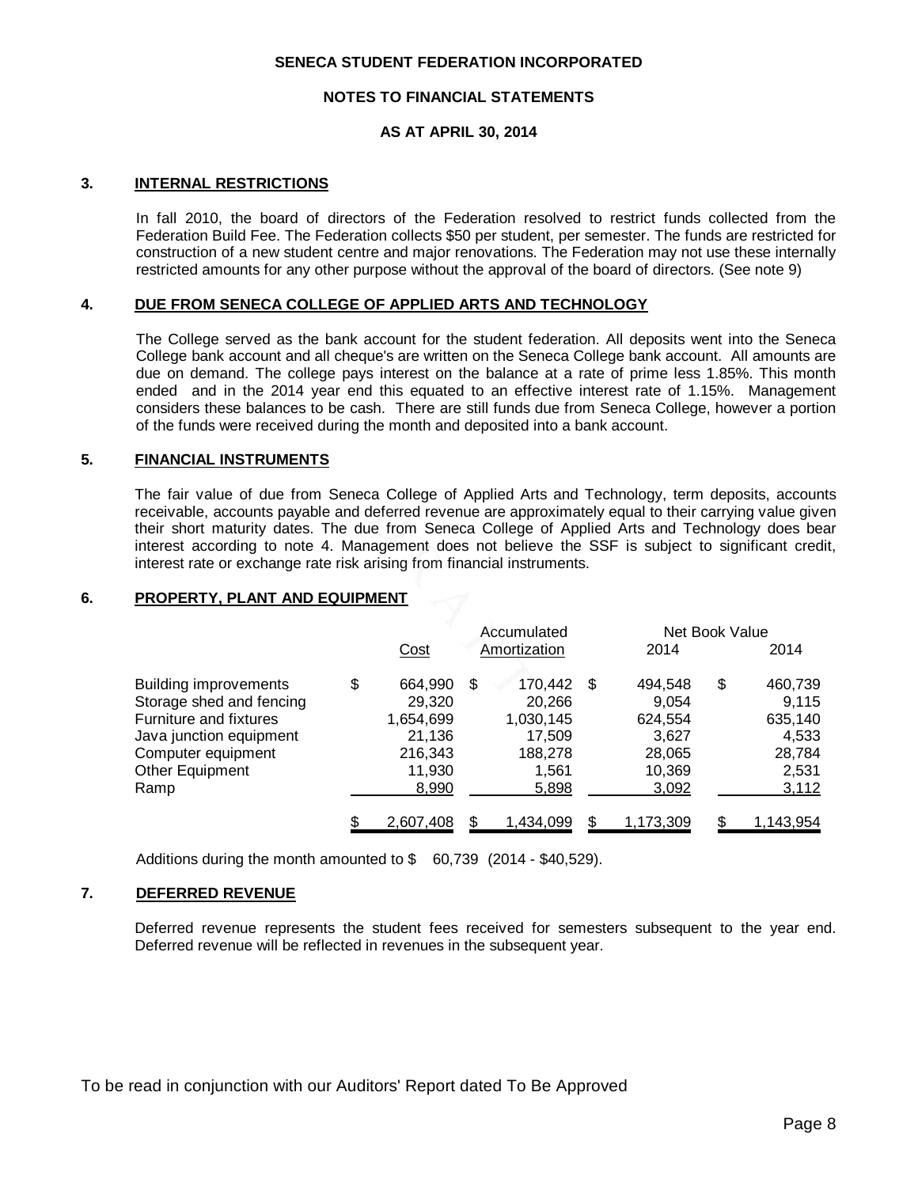#### **NOTES TO FINANCIAL STATEMENTS**

### **AS AT APRIL 30, 2014**

#### **3. INTERNAL RESTRICTIONS**

In fall 2010, the board of directors of the Federation resolved to restrict funds collected from the Federation Build Fee. The Federation collects \$50 per student, per semester. The funds are restricted for construction of a new student centre and major renovations. The Federation may not use these internally restricted amounts for any other purpose without the approval of the board of directors. (See note 9)

#### **4. DUE FROM SENECA COLLEGE OF APPLIED ARTS AND TECHNOLOGY**

The College served as the bank account for the student federation. All deposits went into the Seneca College bank account and all cheque's are written on the Seneca College bank account. All amounts are due on demand. The college pays interest on the balance at a rate of prime less 1.85%. This month ended and in the 2014 year end this equated to an effective interest rate of 1.15%. Management considers these balances to be cash. There are still funds due from Seneca College, however a portion of the funds were received during the month and deposited into a bank account.

#### **5. FINANCIAL INSTRUMENTS**

The fair value of due from Seneca College of Applied Arts and Technology, term deposits, accounts receivable, accounts payable and deferred revenue are approximately equal to their carrying value given their short maturity dates. The due from Seneca College of Applied Arts and Technology does bear interest according to note 4. Management does not believe the SSF is subject to significant credit, interest rate or exchange rate risk arising from financial instruments.

## **6. PROPERTY, PLANT AND EQUIPMENT**

|                              | Accumulated   |  |              | Net Book Value |           |    |                  |
|------------------------------|---------------|--|--------------|----------------|-----------|----|------------------|
|                              | Cost          |  | Amortization |                | 2014      |    | 2014             |
| <b>Building improvements</b> | \$<br>664,990 |  | 170,442      | -S             | 494.548   | \$ | 460,739          |
| Storage shed and fencing     | 29,320        |  | 20,266       |                | 9.054     |    | 9,115            |
| Furniture and fixtures       | 1,654,699     |  | 1,030,145    |                | 624,554   |    | 635,140          |
| Java junction equipment      | 21,136        |  | 17.509       |                | 3.627     |    | 4.533            |
| Computer equipment           | 216,343       |  | 188,278      |                | 28,065    |    | 28,784           |
| Other Equipment              | 11,930        |  | 1.561        |                | 10,369    |    | 2,531            |
| Ramp                         | 8,990         |  | 5,898        |                | 3,092     |    | 3,112            |
|                              | 2,607,408     |  | 1,434,099    |                | 1,173,309 |    | <u>1,143,954</u> |

Additions during the month amounted to \$ 60,739 (2014 - \$40,529).

# **7. DEFERRED REVENUE**

Deferred revenue represents the student fees received for semesters subsequent to the year end. Deferred revenue will be reflected in revenues in the subsequent year.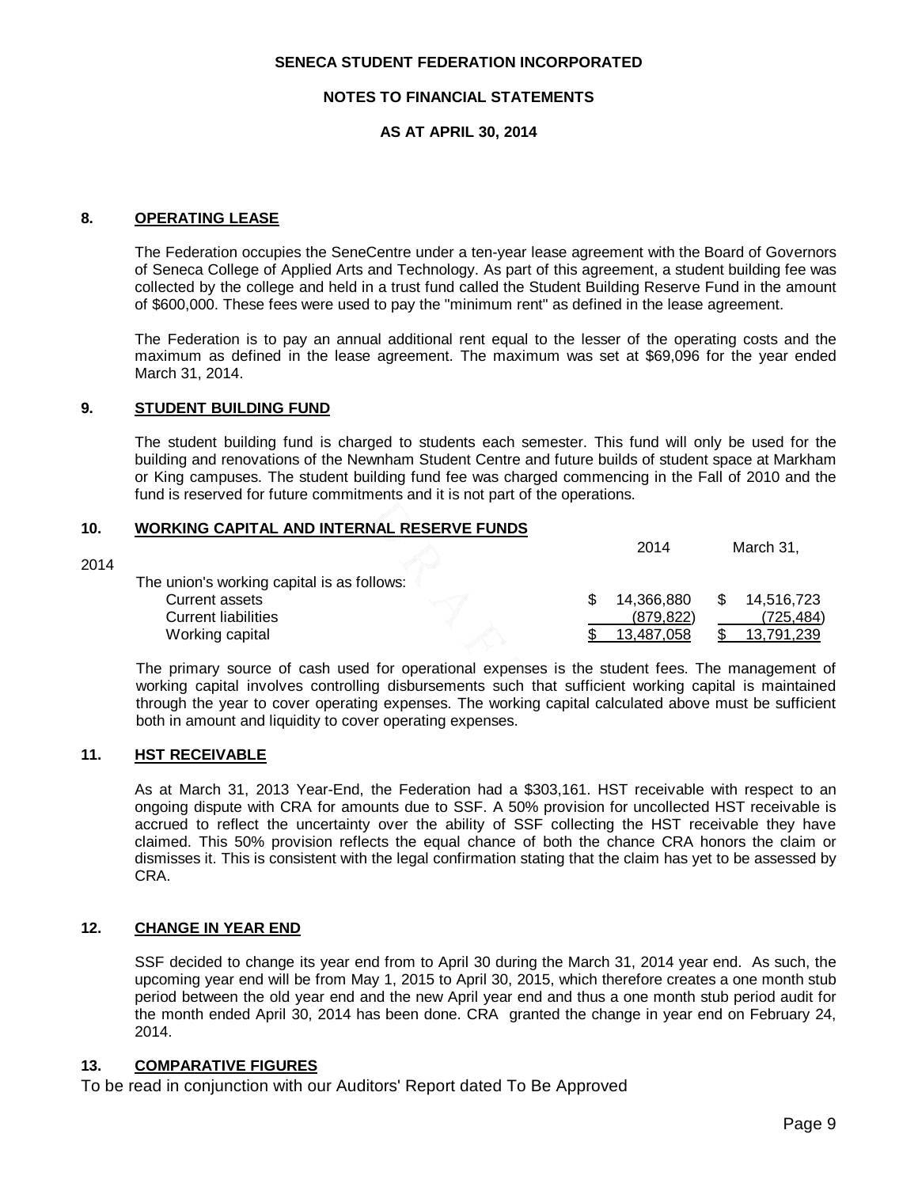### **NOTES TO FINANCIAL STATEMENTS**

## **AS AT APRIL 30, 2014**

#### **8. OPERATING LEASE**

The Federation occupies the SeneCentre under a ten-year lease agreement with the Board of Governors of Seneca College of Applied Arts and Technology. As part of this agreement, a student building fee was collected by the college and held in a trust fund called the Student Building Reserve Fund in the amount of \$600,000. These fees were used to pay the "minimum rent" as defined in the lease agreement.

The Federation is to pay an annual additional rent equal to the lesser of the operating costs and the maximum as defined in the lease agreement. The maximum was set at \$69,096 for the year ended March 31, 2014.

# **9. STUDENT BUILDING FUND**

The student building fund is charged to students each semester. This fund will only be used for the building and renovations of the Newnham Student Centre and future builds of student space at Markham or King campuses. The student building fund fee was charged commencing in the Fall of 2010 and the fund is reserved for future commitments and it is not part of the operations.

# **10. WORKING CAPITAL AND INTERNAL RESERVE FUNDS**

|                            |                                            | 2014       | March 31,  |
|----------------------------|--------------------------------------------|------------|------------|
|                            |                                            |            |            |
| Current assets             |                                            | 14,366,880 | 14,516,723 |
| <b>Current liabilities</b> |                                            | (879, 822) | (725,484)  |
| Working capital            |                                            | 13.487.058 | 13,791,239 |
|                            | The union's working capital is as follows: |            |            |

The primary source of cash used for operational expenses is the student fees. The management of working capital involves controlling disbursements such that sufficient working capital is maintained through the year to cover operating expenses. The working capital calculated above must be sufficient both in amount and liquidity to cover operating expenses.

## **11. HST RECEIVABLE**

2014

As at March 31, 2013 Year-End, the Federation had a \$303,161. HST receivable with respect to an ongoing dispute with CRA for amounts due to SSF. A 50% provision for uncollected HST receivable is accrued to reflect the uncertainty over the ability of SSF collecting the HST receivable they have claimed. This 50% provision reflects the equal chance of both the chance CRA honors the claim or dismisses it. This is consistent with the legal confirmation stating that the claim has yet to be assessed by CRA.

## **12. CHANGE IN YEAR END**

SSF decided to change its year end from to April 30 during the March 31, 2014 year end. As such, the upcoming year end will be from May 1, 2015 to April 30, 2015, which therefore creates a one month stub period between the old year end and the new April year end and thus a one month stub period audit for the month ended April 30, 2014 has been done. CRA granted the change in year end on February 24, 2014.

## **13. COMPARATIVE FIGURES**